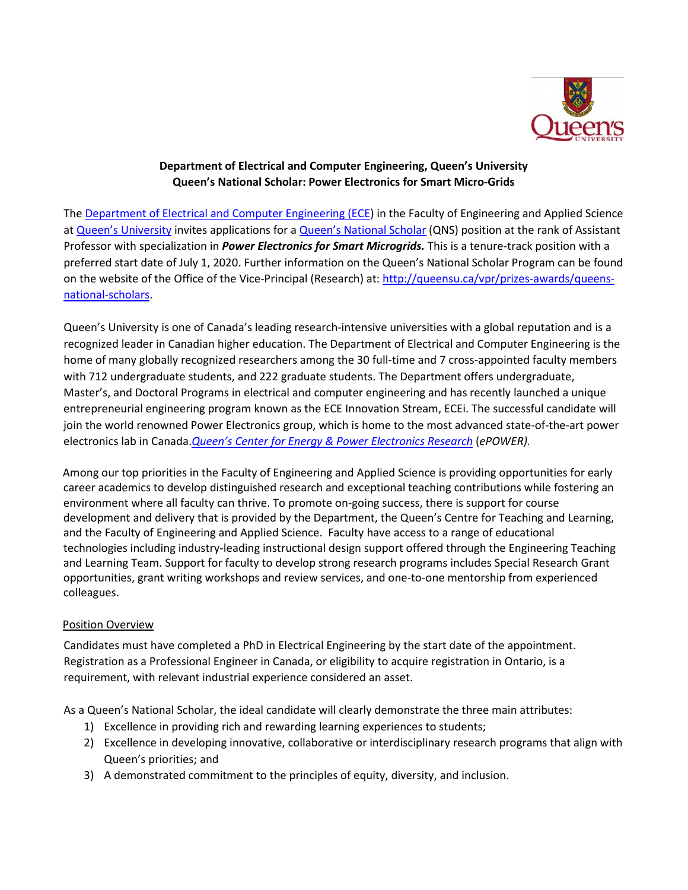

## **Department of Electrical and Computer Engineering, Queen's University Queen's National Scholar: Power Electronics for Smart Micro-Grids**

The [Department of Electrical and Computer Engineering \(ECE\)](https://www.ece.queensu.ca/) in the Faculty of Engineering and Applied Science at [Queen's University](https://www.queensu.ca/) invites applications for [a Queen's National Scholar](https://www.queensu.ca/vpr/prizes-awards/queens-national-scholars) (QNS) position at the rank of Assistant Professor with specialization in *Power Electronics for Smart Microgrids.* This is a tenure-track position with a preferred start date of July 1, 2020. Further information on the Queen's National Scholar Program can be found on the website of the Office of the Vice-Principal (Research) at[: http://queensu.ca/vpr/prizes-awards/queens](http://queensu.ca/vpr/prizes-awards/queens-national-scholars)[national-scholars.](http://queensu.ca/vpr/prizes-awards/queens-national-scholars)

Queen's University is one of Canada's leading research-intensive universities with a global reputation and is a recognized leader in Canadian higher education. The Department of Electrical and Computer Engineering is the home of many globally recognized researchers among the 30 full-time and 7 cross-appointed faculty members with 712 undergraduate students, and 222 graduate students. The Department offers undergraduate, Master's, and Doctoral Programs in electrical and computer engineering and has recently launched a unique entrepreneurial engineering program known as the ECE Innovation Stream, ECEi. The successful candidate will join the world renowned Power Electronics group, which is home to the most advanced state-of-the-art power electronics lab in Canada.*[Queen's Center for Energy & Power Electronics Research](https://www.queensu.ca/epower/home)* (*ePOWER).* 

Among our top priorities in the Faculty of Engineering and Applied Science is providing opportunities for early career academics to develop distinguished research and exceptional teaching contributions while fostering an environment where all faculty can thrive. To promote on-going success, there is support for course development and delivery that is provided by the Department, the Queen's Centre for Teaching and Learning, and the Faculty of Engineering and Applied Science. Faculty have access to a range of educational technologies including industry-leading instructional design support offered through the Engineering Teaching and Learning Team. Support for faculty to develop strong research programs includes Special Research Grant opportunities, grant writing workshops and review services, and one-to-one mentorship from experienced colleagues.

## Position Overview

Candidates must have completed a PhD in Electrical Engineering by the start date of the appointment. Registration as a Professional Engineer in Canada, or eligibility to acquire registration in Ontario, is a requirement, with relevant industrial experience considered an asset.

As a Queen's National Scholar, the ideal candidate will clearly demonstrate the three main attributes:

- 1) Excellence in providing rich and rewarding learning experiences to students;
- 2) Excellence in developing innovative, collaborative or interdisciplinary research programs that align with Queen's priorities; and
- 3) A demonstrated commitment to the principles of equity, diversity, and inclusion.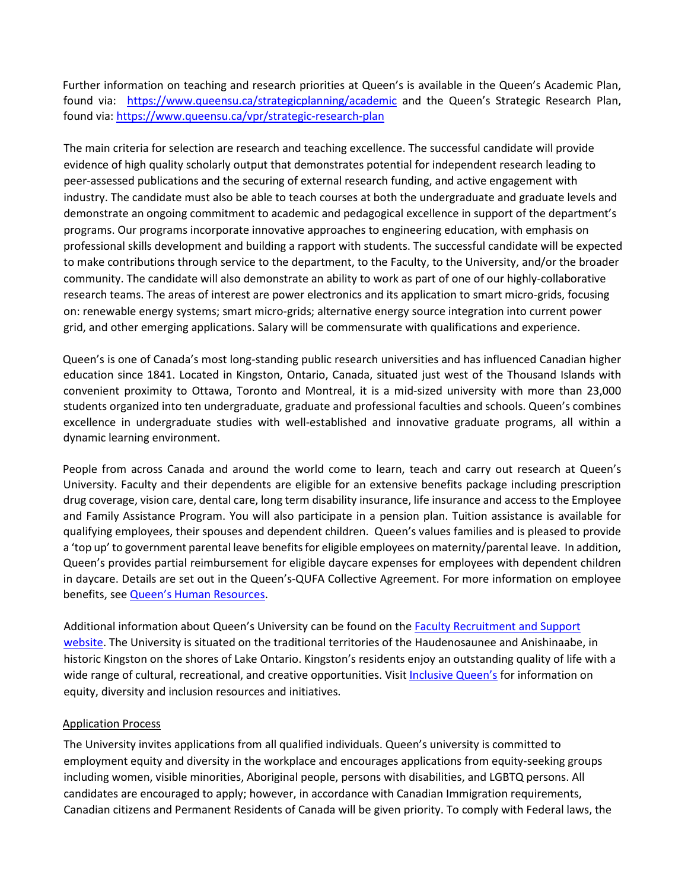Further information on teaching and research priorities at Queen's is available in the Queen's Academic Plan, found via: <https://www.queensu.ca/strategicplanning/academic> and the Queen's Strategic Research Plan, found via[: https://www.queensu.ca/vpr/strategic-research-plan](https://www.queensu.ca/vpr/strategic-research-plan)

The main criteria for selection are research and teaching excellence. The successful candidate will provide evidence of high quality scholarly output that demonstrates potential for independent research leading to peer-assessed publications and the securing of external research funding, and active engagement with industry. The candidate must also be able to teach courses at both the undergraduate and graduate levels and demonstrate an ongoing commitment to academic and pedagogical excellence in support of the department's programs. Our programs incorporate innovative approaches to engineering education, with emphasis on professional skills development and building a rapport with students. The successful candidate will be expected to make contributions through service to the department, to the Faculty, to the University, and/or the broader community. The candidate will also demonstrate an ability to work as part of one of our highly-collaborative research teams. The areas of interest are power electronics and its application to smart micro-grids, focusing on: renewable energy systems; smart micro-grids; alternative energy source integration into current power grid, and other emerging applications. Salary will be commensurate with qualifications and experience.

Queen's is one of Canada's most long-standing public research universities and has influenced Canadian higher education since 1841. Located in Kingston, Ontario, Canada, situated just west of the Thousand Islands with convenient proximity to Ottawa, Toronto and Montreal, it is a mid-sized university with more than 23,000 students organized in[to ten undergraduate, graduate and professional faculties and schools. Q](http://queensu.ca/learn/programs)ueen's combines excellence in undergraduate studies with well-established and innovative graduate programs, all within a dynamic learning environment.

People from across Canada and around the world come to learn, teach and carry out research at Queen's University. Faculty and their dependents are eligible for an extensive benefits package including prescription drug coverage, vision care, dental care, long term disability insurance, life insurance and access to the Employee and Family Assistance Program. You will also participate in a pension plan. Tuition assistance is available for qualifying employees, their spouses and dependent children. Queen's values families and is pleased to provide a 'top up' to government parental leave benefits for eligible employees on maternity/parental leave. In addition, Queen's provides partial reimbursement for eligible daycare expenses for employees with dependent children in daycare. Details are set out in the Queen's-QUFA Collective Agreement. For more information on employee benefits, see [Queen's Human Resources.](http://www.queensu.ca/humanresources/)

Additional information about Queen's University can be found on the [Faculty Recruitment and Support](http://www.queensu.ca/facultyrecruitment)  [website.](http://www.queensu.ca/facultyrecruitment) The University is situated on the traditional territories of the Haudenosaunee and Anishinaabe, in historic Kingston on the shores of Lake Ontario. Kingston's residents enjoy an outstanding quality of life with a wide range of cultural, recreational, and creative opportunities. Visi[t Inclusive Queen's](https://www.queensu.ca/inclusive/content/home) for information on equity, diversity and inclusion resources and initiatives.

## Application Process

The University invites applications from all qualified individuals. Queen's university is committed to employment equity and diversity in the workplace and encourages applications from equity-seeking groups including women, visible minorities, Aboriginal people, persons with disabilities, and LGBTQ persons. All candidates are encouraged to apply; however, in accordance with Canadian Immigration requirements, Canadian citizens and Permanent Residents of Canada will be given priority. To comply with Federal laws, the